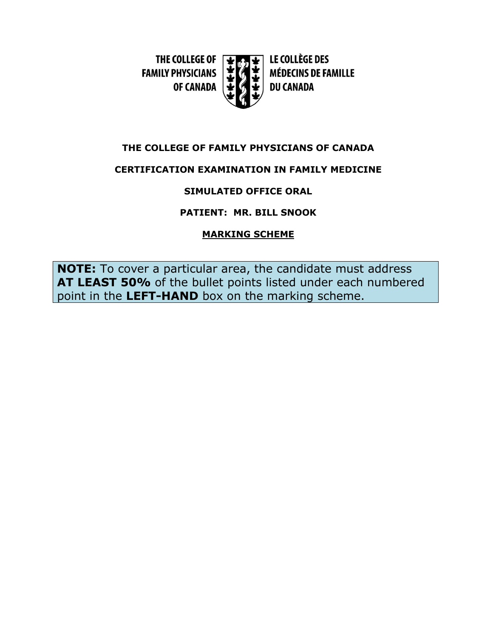THE COLLEGE OF [ **FAMILY PHYSICIANS OF CANADA** 



LE COLLÈGE DES **MÉDECINS DE FAMILLE DU CANADA** 

## **THE COLLEGE OF FAMILY PHYSICIANS OF CANADA**

# **CERTIFICATION EXAMINATION IN FAMILY MEDICINE**

# **SIMULATED OFFICE ORAL**

# **PATIENT: MR. BILL SNOOK**

# **MARKING SCHEME**

**NOTE:** To cover a particular area, the candidate must address **AT LEAST 50%** of the bullet points listed under each numbered point in the **LEFT-HAND** box on the marking scheme.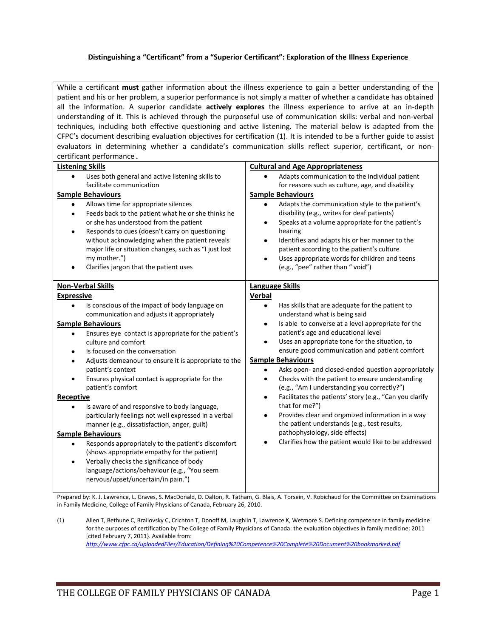#### **Distinguishing a "Certificant" from a "Superior Certificant": Exploration of the Illness Experience**

While a certificant **must** gather information about the illness experience to gain a better understanding of the patient and his or her problem, a superior performance is not simply a matter of whether a candidate has obtained all the information. A superior candidate **actively explores** the illness experience to arrive at an in-depth understanding of it. This is achieved through the purposeful use of communication skills: verbal and non-verbal techniques, including both effective questioning and active listening. The material below is adapted from the CFPC's document describing evaluation objectives for certification (1). It is intended to be a further guide to assist evaluators in determining whether a candidate's communication skills reflect superior, certificant, or noncertificant performance.

| <b>Listening Skills</b><br>Uses both general and active listening skills to<br>facilitate communication<br><b>Sample Behaviours</b><br>Allows time for appropriate silences<br>Feeds back to the patient what he or she thinks he<br>or she has understood from the patient<br>Responds to cues (doesn't carry on questioning<br>without acknowledging when the patient reveals<br>major life or situation changes, such as "I just lost<br>my mother.")<br>Clarifies jargon that the patient uses | <b>Cultural and Age Appropriateness</b><br>Adapts communication to the individual patient<br>for reasons such as culture, age, and disability<br><b>Sample Behaviours</b><br>Adapts the communication style to the patient's<br>$\bullet$<br>disability (e.g., writes for deaf patients)<br>Speaks at a volume appropriate for the patient's<br>٠<br>hearing<br>Identifies and adapts his or her manner to the<br>٠<br>patient according to the patient's culture<br>Uses appropriate words for children and teens<br>$\bullet$<br>(e.g., "pee" rather than " void") |
|----------------------------------------------------------------------------------------------------------------------------------------------------------------------------------------------------------------------------------------------------------------------------------------------------------------------------------------------------------------------------------------------------------------------------------------------------------------------------------------------------|----------------------------------------------------------------------------------------------------------------------------------------------------------------------------------------------------------------------------------------------------------------------------------------------------------------------------------------------------------------------------------------------------------------------------------------------------------------------------------------------------------------------------------------------------------------------|
| <b>Non-Verbal Skills</b>                                                                                                                                                                                                                                                                                                                                                                                                                                                                           | <b>Language Skills</b>                                                                                                                                                                                                                                                                                                                                                                                                                                                                                                                                               |
| <b>Expressive</b>                                                                                                                                                                                                                                                                                                                                                                                                                                                                                  | Verbal                                                                                                                                                                                                                                                                                                                                                                                                                                                                                                                                                               |
|                                                                                                                                                                                                                                                                                                                                                                                                                                                                                                    |                                                                                                                                                                                                                                                                                                                                                                                                                                                                                                                                                                      |
| Is conscious of the impact of body language on                                                                                                                                                                                                                                                                                                                                                                                                                                                     | Has skills that are adequate for the patient to                                                                                                                                                                                                                                                                                                                                                                                                                                                                                                                      |
| communication and adjusts it appropriately                                                                                                                                                                                                                                                                                                                                                                                                                                                         | understand what is being said                                                                                                                                                                                                                                                                                                                                                                                                                                                                                                                                        |
| <b>Sample Behaviours</b>                                                                                                                                                                                                                                                                                                                                                                                                                                                                           | Is able to converse at a level appropriate for the<br>٠                                                                                                                                                                                                                                                                                                                                                                                                                                                                                                              |
| Ensures eye contact is appropriate for the patient's                                                                                                                                                                                                                                                                                                                                                                                                                                               | patient's age and educational level                                                                                                                                                                                                                                                                                                                                                                                                                                                                                                                                  |
| culture and comfort                                                                                                                                                                                                                                                                                                                                                                                                                                                                                | Uses an appropriate tone for the situation, to                                                                                                                                                                                                                                                                                                                                                                                                                                                                                                                       |
| Is focused on the conversation                                                                                                                                                                                                                                                                                                                                                                                                                                                                     | ensure good communication and patient comfort                                                                                                                                                                                                                                                                                                                                                                                                                                                                                                                        |
| Adjusts demeanour to ensure it is appropriate to the                                                                                                                                                                                                                                                                                                                                                                                                                                               | <b>Sample Behaviours</b>                                                                                                                                                                                                                                                                                                                                                                                                                                                                                                                                             |
| patient's context                                                                                                                                                                                                                                                                                                                                                                                                                                                                                  | Asks open- and closed-ended question appropriately<br>$\bullet$                                                                                                                                                                                                                                                                                                                                                                                                                                                                                                      |
| Ensures physical contact is appropriate for the                                                                                                                                                                                                                                                                                                                                                                                                                                                    | Checks with the patient to ensure understanding<br>$\bullet$                                                                                                                                                                                                                                                                                                                                                                                                                                                                                                         |
| patient's comfort                                                                                                                                                                                                                                                                                                                                                                                                                                                                                  | (e.g., "Am I understanding you correctly?")                                                                                                                                                                                                                                                                                                                                                                                                                                                                                                                          |
|                                                                                                                                                                                                                                                                                                                                                                                                                                                                                                    |                                                                                                                                                                                                                                                                                                                                                                                                                                                                                                                                                                      |
| <b>Receptive</b>                                                                                                                                                                                                                                                                                                                                                                                                                                                                                   | Facilitates the patients' story (e.g., "Can you clarify<br>$\bullet$                                                                                                                                                                                                                                                                                                                                                                                                                                                                                                 |
| Is aware of and responsive to body language,                                                                                                                                                                                                                                                                                                                                                                                                                                                       | that for me?")                                                                                                                                                                                                                                                                                                                                                                                                                                                                                                                                                       |
| particularly feelings not well expressed in a verbal                                                                                                                                                                                                                                                                                                                                                                                                                                               | Provides clear and organized information in a way<br>$\bullet$                                                                                                                                                                                                                                                                                                                                                                                                                                                                                                       |
| manner (e.g., dissatisfaction, anger, guilt)                                                                                                                                                                                                                                                                                                                                                                                                                                                       | the patient understands (e.g., test results,                                                                                                                                                                                                                                                                                                                                                                                                                                                                                                                         |
| <b>Sample Behaviours</b>                                                                                                                                                                                                                                                                                                                                                                                                                                                                           | pathophysiology, side effects)                                                                                                                                                                                                                                                                                                                                                                                                                                                                                                                                       |
| Responds appropriately to the patient's discomfort                                                                                                                                                                                                                                                                                                                                                                                                                                                 | Clarifies how the patient would like to be addressed                                                                                                                                                                                                                                                                                                                                                                                                                                                                                                                 |
| (shows appropriate empathy for the patient)                                                                                                                                                                                                                                                                                                                                                                                                                                                        |                                                                                                                                                                                                                                                                                                                                                                                                                                                                                                                                                                      |
|                                                                                                                                                                                                                                                                                                                                                                                                                                                                                                    |                                                                                                                                                                                                                                                                                                                                                                                                                                                                                                                                                                      |
| Verbally checks the significance of body                                                                                                                                                                                                                                                                                                                                                                                                                                                           |                                                                                                                                                                                                                                                                                                                                                                                                                                                                                                                                                                      |
| language/actions/behaviour (e.g., "You seem                                                                                                                                                                                                                                                                                                                                                                                                                                                        |                                                                                                                                                                                                                                                                                                                                                                                                                                                                                                                                                                      |
| nervous/upset/uncertain/in pain.")                                                                                                                                                                                                                                                                                                                                                                                                                                                                 |                                                                                                                                                                                                                                                                                                                                                                                                                                                                                                                                                                      |
|                                                                                                                                                                                                                                                                                                                                                                                                                                                                                                    |                                                                                                                                                                                                                                                                                                                                                                                                                                                                                                                                                                      |

Prepared by: K. J. Lawrence, L. Graves, S. MacDonald, D. Dalton, R. Tatham, G. Blais, A. Torsein, V. Robichaud for the Committee on Examinations in Family Medicine, College of Family Physicians of Canada, February 26, 2010.

(1) Allen T, Bethune C, Brailovsky C, Crichton T, Donoff M, Laughlin T, Lawrence K, Wetmore S. Defining competence in family medicine for the purposes of certification by The College of Family Physicians of Canada: the evaluation objectives in family medicine; 2011 [cited February 7, 2011}. Available from: *<http://www.cfpc.ca/uploadedFiles/Education/Defining%20Competence%20Complete%20Document%20bookmarked.pdf>*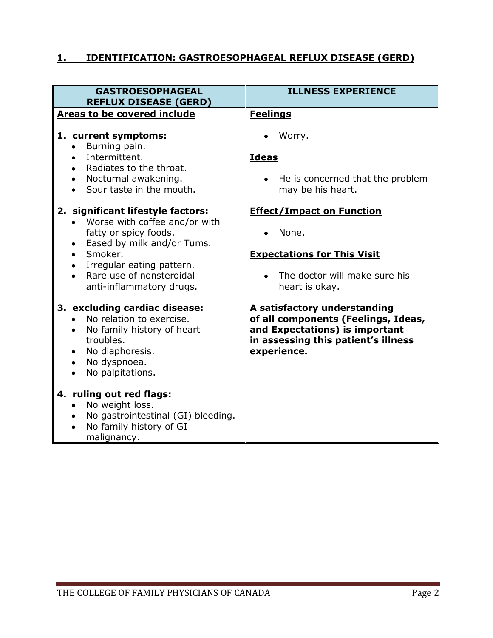### **1. IDENTIFICATION: GASTROESOPHAGEAL REFLUX DISEASE (GERD)**

| <b>GASTROESOPHAGEAL</b><br><b>REFLUX DISEASE (GERD)</b>                                                                                                                                                                   | <b>ILLNESS EXPERIENCE</b>                                                                                                                                   |
|---------------------------------------------------------------------------------------------------------------------------------------------------------------------------------------------------------------------------|-------------------------------------------------------------------------------------------------------------------------------------------------------------|
| Areas to be covered include<br>1. current symptoms:                                                                                                                                                                       | <b>Feelings</b><br>Worry.                                                                                                                                   |
| Burning pain.<br>Intermittent.<br>Radiates to the throat.<br>Nocturnal awakening.<br>Sour taste in the mouth.                                                                                                             | <b>Ideas</b><br>He is concerned that the problem<br>may be his heart.                                                                                       |
| 2. significant lifestyle factors:<br>Worse with coffee and/or with<br>fatty or spicy foods.<br>Eased by milk and/or Tums.<br>Smoker.<br>Irregular eating pattern.<br>Rare use of nonsteroidal<br>anti-inflammatory drugs. | <b>Effect/Impact on Function</b><br>None.<br><b>Expectations for This Visit</b><br>The doctor will make sure his<br>heart is okay.                          |
| 3. excluding cardiac disease:<br>No relation to exercise.<br>No family history of heart<br>troubles.<br>No diaphoresis.<br>No dyspnoea.<br>No palpitations.                                                               | A satisfactory understanding<br>of all components (Feelings, Ideas,<br>and Expectations) is important<br>in assessing this patient's illness<br>experience. |
| 4. ruling out red flags:<br>No weight loss.<br>No gastrointestinal (GI) bleeding.<br>No family history of GI<br>malignancy.                                                                                               |                                                                                                                                                             |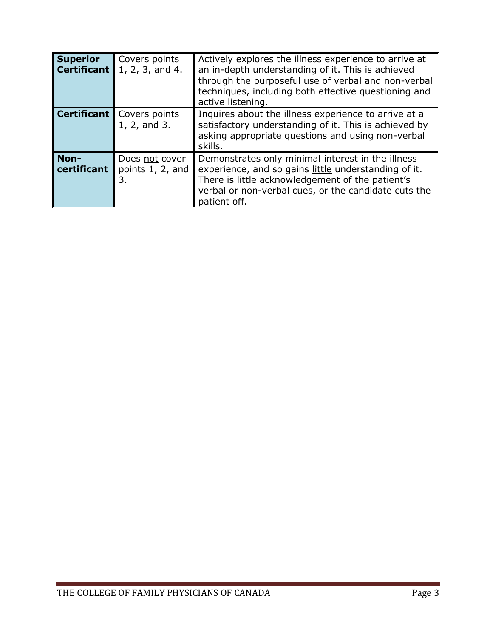| <b>Superior</b><br><b>Certificant</b> | Covers points<br>1, 2, 3, and 4.         | Actively explores the illness experience to arrive at<br>an in-depth understanding of it. This is achieved<br>through the purposeful use of verbal and non-verbal<br>techniques, including both effective questioning and<br>active listening. |
|---------------------------------------|------------------------------------------|------------------------------------------------------------------------------------------------------------------------------------------------------------------------------------------------------------------------------------------------|
| <b>Certificant</b>                    | Covers points<br>1, 2, and 3.            | Inquires about the illness experience to arrive at a<br>satisfactory understanding of it. This is achieved by<br>asking appropriate questions and using non-verbal<br>skills.                                                                  |
| Non-<br>certificant                   | Does not cover<br>points 1, 2, and<br>3. | Demonstrates only minimal interest in the illness<br>experience, and so gains little understanding of it.<br>There is little acknowledgement of the patient's<br>verbal or non-verbal cues, or the candidate cuts the<br>patient off.          |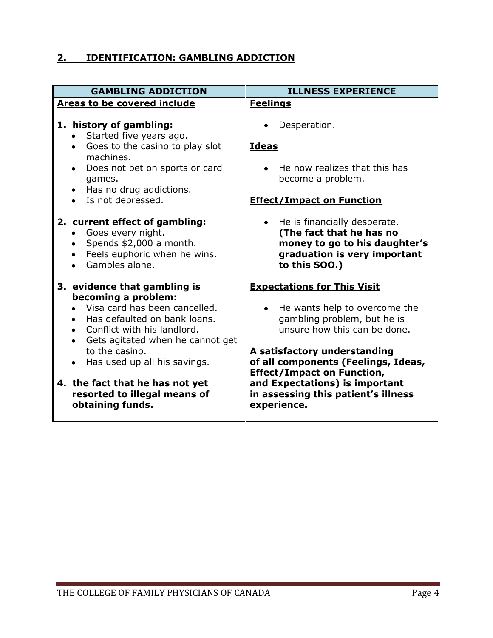# **2. IDENTIFICATION: GAMBLING ADDICTION**

| <b>ILLNESS EXPERIENCE</b>                                                                                                                                                                        |
|--------------------------------------------------------------------------------------------------------------------------------------------------------------------------------------------------|
| <b>Feelings</b>                                                                                                                                                                                  |
| Desperation.<br><b>Ideas</b>                                                                                                                                                                     |
| He now realizes that this has<br>become a problem.                                                                                                                                               |
| <b>Effect/Impact on Function</b>                                                                                                                                                                 |
| He is financially desperate.<br>$\bullet$<br>(The fact that he has no<br>money to go to his daughter's<br>graduation is very important<br>to this SOO.)                                          |
| <b>Expectations for This Visit</b><br>• He wants help to overcome the<br>gambling problem, but he is<br>unsure how this can be done.                                                             |
| A satisfactory understanding<br>of all components (Feelings, Ideas,<br><b>Effect/Impact on Function,</b><br>and Expectations) is important<br>in assessing this patient's illness<br>experience. |
|                                                                                                                                                                                                  |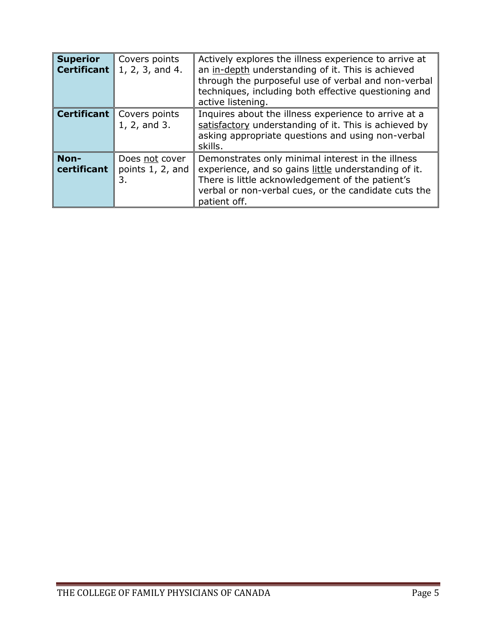| <b>Superior</b><br><b>Certificant</b> | Covers points<br>1, 2, 3, and 4.         | Actively explores the illness experience to arrive at<br>an in-depth understanding of it. This is achieved<br>through the purposeful use of verbal and non-verbal<br>techniques, including both effective questioning and<br>active listening. |
|---------------------------------------|------------------------------------------|------------------------------------------------------------------------------------------------------------------------------------------------------------------------------------------------------------------------------------------------|
| <b>Certificant</b>                    | Covers points<br>1, 2, and 3.            | Inquires about the illness experience to arrive at a<br>satisfactory understanding of it. This is achieved by<br>asking appropriate questions and using non-verbal<br>skills.                                                                  |
| Non-<br>certificant                   | Does not cover<br>points 1, 2, and<br>3. | Demonstrates only minimal interest in the illness<br>experience, and so gains little understanding of it.<br>There is little acknowledgement of the patient's<br>verbal or non-verbal cues, or the candidate cuts the<br>patient off.          |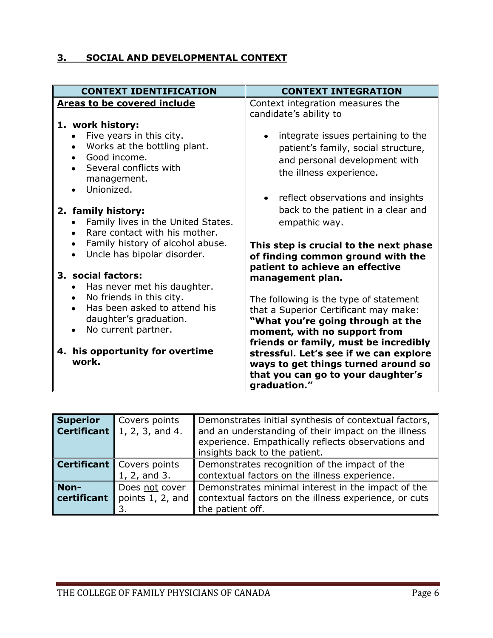### **3. SOCIAL AND DEVELOPMENTAL CONTEXT**

| <b>CONTEXT IDENTIFICATION</b>                                                                                                                                                          | <b>CONTEXT INTEGRATION</b>                                                                                                                                                                    |
|----------------------------------------------------------------------------------------------------------------------------------------------------------------------------------------|-----------------------------------------------------------------------------------------------------------------------------------------------------------------------------------------------|
| <b>Areas to be covered include</b><br>1. work history:                                                                                                                                 | Context integration measures the<br>candidate's ability to                                                                                                                                    |
| Five years in this city.<br>Works at the bottling plant.<br>$\bullet$<br>Good income.<br>Several conflicts with<br>management.<br>Unionized.                                           | integrate issues pertaining to the<br>patient's family, social structure,<br>and personal development with<br>the illness experience.                                                         |
| 2. family history:<br>Family lives in the United States.<br>Rare contact with his mother.<br>$\bullet$<br>Family history of alcohol abuse.<br>Uncle has bipolar disorder.<br>$\bullet$ | reflect observations and insights<br>$\bullet$<br>back to the patient in a clear and<br>empathic way.<br>This step is crucial to the next phase<br>of finding common ground with the          |
| 3. social factors:<br>Has never met his daughter.                                                                                                                                      | patient to achieve an effective<br>management plan.                                                                                                                                           |
| No friends in this city.<br>Has been asked to attend his<br>daughter's graduation.<br>No current partner.                                                                              | The following is the type of statement<br>that a Superior Certificant may make:<br>"What you're going through at the<br>moment, with no support from<br>friends or family, must be incredibly |
| 4. his opportunity for overtime<br>work.                                                                                                                                               | stressful. Let's see if we can explore<br>ways to get things turned around so<br>that you can go to your daughter's<br>graduation."                                                           |

| <b>Superior</b><br><b>Certificant</b> | Covers points<br>  1, 2, 3, and 4.               | Demonstrates initial synthesis of contextual factors,<br>and an understanding of their impact on the illness<br>experience. Empathically reflects observations and<br>insights back to the patient. |
|---------------------------------------|--------------------------------------------------|-----------------------------------------------------------------------------------------------------------------------------------------------------------------------------------------------------|
|                                       | <b>Certificant</b> Covers points<br>1, 2, and 3. | Demonstrates recognition of the impact of the<br>contextual factors on the illness experience.                                                                                                      |
| Non-<br>certificant                   | Does not cover<br>points 1, 2, and               | Demonstrates minimal interest in the impact of the<br>contextual factors on the illness experience, or cuts<br>the patient off.                                                                     |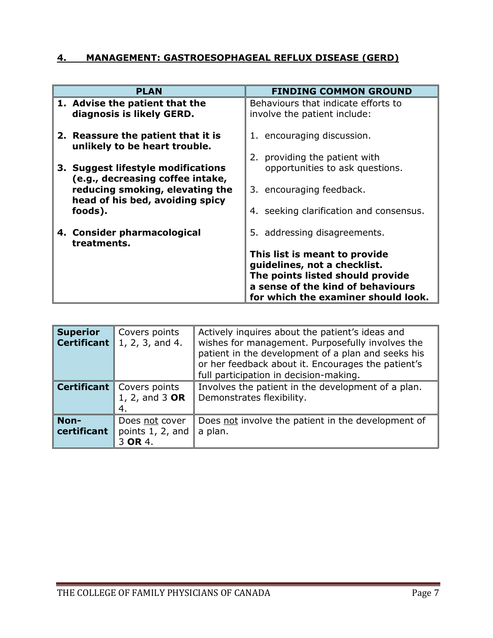#### **4. MANAGEMENT: GASTROESOPHAGEAL REFLUX DISEASE (GERD)**

| <b>PLAN</b>                                                            | <b>FINDING COMMON GROUND</b>                                          |
|------------------------------------------------------------------------|-----------------------------------------------------------------------|
| 1. Advise the patient that the<br>diagnosis is likely GERD.            | Behaviours that indicate efforts to<br>involve the patient include:   |
| 2. Reassure the patient that it is<br>unlikely to be heart trouble.    | 1. encouraging discussion.<br>2. providing the patient with           |
| 3. Suggest lifestyle modifications<br>(e.g., decreasing coffee intake, | opportunities to ask questions.                                       |
| reducing smoking, elevating the<br>head of his bed, avoiding spicy     | 3. encouraging feedback.                                              |
| foods).                                                                | 4. seeking clarification and consensus.                               |
| 4. Consider pharmacological<br>treatments.                             | 5. addressing disagreements.                                          |
|                                                                        | This list is meant to provide<br>guidelines, not a checklist.         |
|                                                                        | The points listed should provide<br>a sense of the kind of behaviours |
|                                                                        | for which the examiner should look.                                   |

| <b>Superior</b><br><b>Certificant</b> | Covers points<br>1, 2, 3, and 4.              | Actively inquires about the patient's ideas and<br>wishes for management. Purposefully involves the<br>patient in the development of a plan and seeks his<br>or her feedback about it. Encourages the patient's<br>full participation in decision-making. |
|---------------------------------------|-----------------------------------------------|-----------------------------------------------------------------------------------------------------------------------------------------------------------------------------------------------------------------------------------------------------------|
| $\ $ Certificant $\ $                 | Covers points<br>1, 2, and 3 OR<br>4.         | Involves the patient in the development of a plan.<br>Demonstrates flexibility.                                                                                                                                                                           |
| Non-<br>certificant                   | Does not cover<br>points 1, 2, and<br>3 OR 4. | Does not involve the patient in the development of<br>a plan.                                                                                                                                                                                             |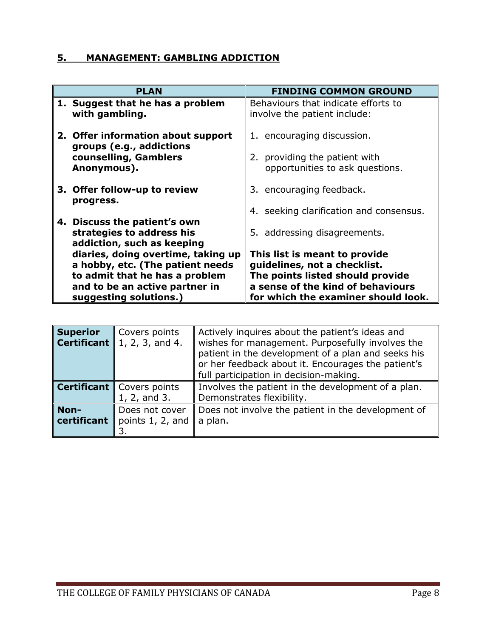#### **5. MANAGEMENT: GAMBLING ADDICTION**

| <b>PLAN</b>                                                                             | <b>FINDING COMMON GROUND</b>                                          |
|-----------------------------------------------------------------------------------------|-----------------------------------------------------------------------|
| 1. Suggest that he has a problem<br>with gambling.                                      | Behaviours that indicate efforts to<br>involve the patient include:   |
| 2. Offer information about support<br>groups (e.g., addictions                          | 1. encouraging discussion.                                            |
| counselling, Gamblers<br>Anonymous).                                                    | 2. providing the patient with<br>opportunities to ask questions.      |
| 3. Offer follow-up to review<br>progress.                                               | 3. encouraging feedback.                                              |
|                                                                                         | 4. seeking clarification and consensus.                               |
| 4. Discuss the patient's own<br>strategies to address his<br>addiction, such as keeping | 5. addressing disagreements.                                          |
| diaries, doing overtime, taking up                                                      | This list is meant to provide                                         |
| a hobby, etc. (The patient needs                                                        | guidelines, not a checklist.                                          |
| to admit that he has a problem<br>and to be an active partner in                        | The points listed should provide<br>a sense of the kind of behaviours |
| suggesting solutions.)                                                                  | for which the examiner should look.                                   |

| <b>Superior</b>     | Covers points<br><b>Certificant</b> 1, 2, 3, and 4. | Actively inquires about the patient's ideas and<br>wishes for management. Purposefully involves the<br>patient in the development of a plan and seeks his<br>or her feedback about it. Encourages the patient's<br>full participation in decision-making. |
|---------------------|-----------------------------------------------------|-----------------------------------------------------------------------------------------------------------------------------------------------------------------------------------------------------------------------------------------------------------|
|                     | <b>Certificant</b> Covers points<br>1, 2, and 3.    | Involves the patient in the development of a plan.<br>Demonstrates flexibility.                                                                                                                                                                           |
| Non-<br>certificant | Does not cover<br>points 1, 2, and                  | Does not involve the patient in the development of<br>a plan.                                                                                                                                                                                             |